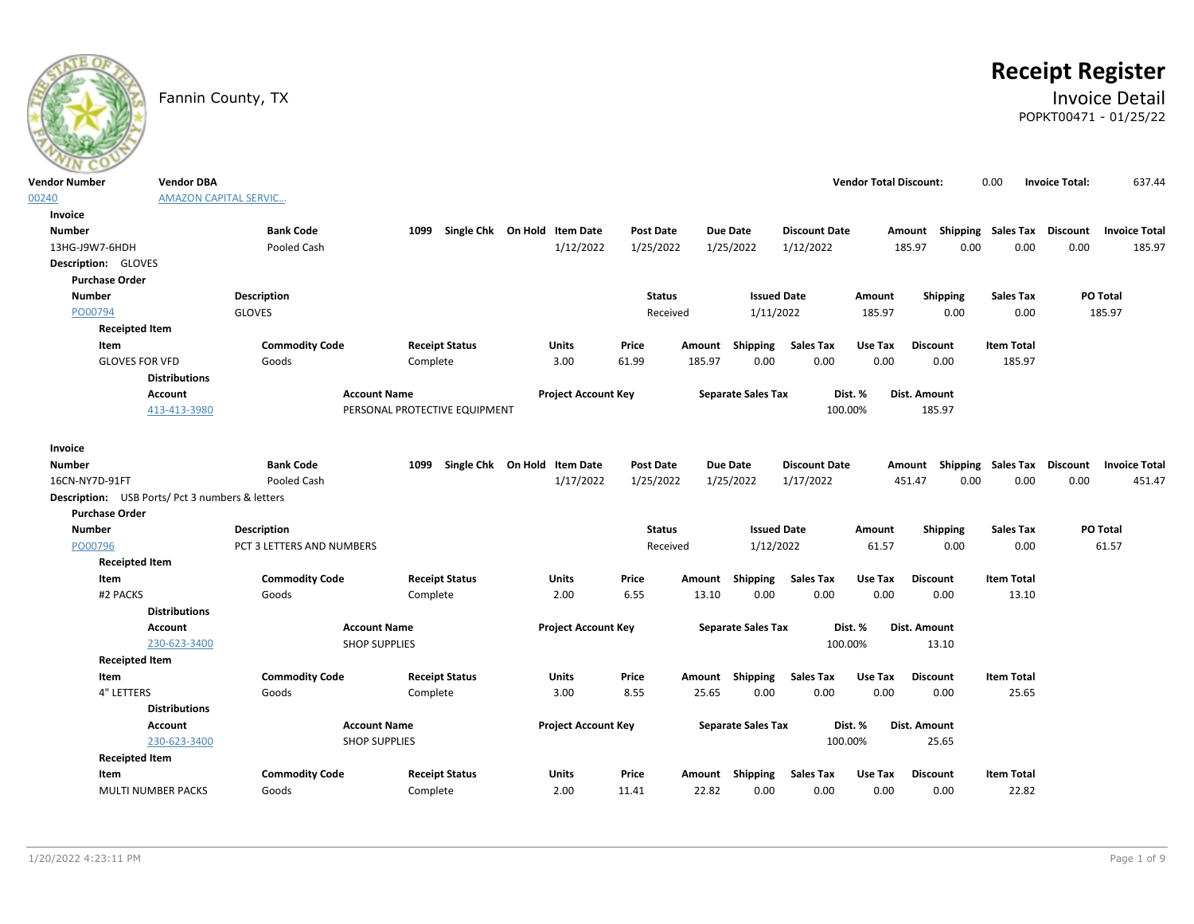

# **Receipt Register**

# Fannin County, TX **Invoice Detail** POPKT00471 - 01/25/22

| <b>Vendor Number</b>                                                            | <b>Vendor DBA</b>            |                           |                               |                              |               |        |                           |                      | <b>Vendor Total Discount:</b> |                                                  | 0.00              | <b>Invoice Total:</b> | 637.44               |
|---------------------------------------------------------------------------------|------------------------------|---------------------------|-------------------------------|------------------------------|---------------|--------|---------------------------|----------------------|-------------------------------|--------------------------------------------------|-------------------|-----------------------|----------------------|
| 00240                                                                           | <b>AMAZON CAPITAL SERVIC</b> |                           |                               |                              |               |        |                           |                      |                               |                                                  |                   |                       |                      |
| Invoice                                                                         |                              |                           |                               |                              |               |        |                           |                      |                               |                                                  |                   |                       |                      |
| <b>Number</b>                                                                   |                              | <b>Bank Code</b>          | 1099                          | Single Chk On Hold Item Date | Post Date     |        | <b>Due Date</b>           | <b>Discount Date</b> |                               | Amount Shipping Sales Tax                        |                   | <b>Discount</b>       | <b>Invoice Total</b> |
| 13HG-J9W7-6HDH                                                                  |                              | Pooled Cash               |                               | 1/12/2022                    | 1/25/2022     |        | 1/25/2022                 | 1/12/2022            |                               | 185.97<br>0.00                                   | 0.00              | 0.00                  | 185.97               |
| <b>Description: GLOVES</b>                                                      |                              |                           |                               |                              |               |        |                           |                      |                               |                                                  |                   |                       |                      |
| <b>Purchase Order</b>                                                           |                              |                           |                               |                              |               |        |                           |                      |                               |                                                  |                   |                       |                      |
| <b>Number</b>                                                                   |                              | <b>Description</b>        |                               |                              | <b>Status</b> |        | <b>Issued Date</b>        |                      | Amount                        | Shipping                                         | <b>Sales Tax</b>  |                       | PO Total             |
| PO00794                                                                         |                              | <b>GLOVES</b>             |                               |                              | Received      |        | 1/11/2022                 |                      | 185.97                        | 0.00                                             | 0.00              |                       | 185.97               |
| <b>Receipted Item</b>                                                           |                              |                           |                               |                              |               |        |                           |                      |                               |                                                  |                   |                       |                      |
| Item                                                                            |                              | <b>Commodity Code</b>     | <b>Receipt Status</b>         | Units                        | Price         | Amount | <b>Shipping</b>           | <b>Sales Tax</b>     | Use Tax                       | <b>Discount</b>                                  | <b>Item Total</b> |                       |                      |
| <b>GLOVES FOR VFD</b>                                                           |                              | Goods                     | Complete                      | 3.00                         | 61.99         | 185.97 | 0.00                      | 0.00                 | 0.00                          | 0.00                                             | 185.97            |                       |                      |
|                                                                                 | <b>Distributions</b>         |                           |                               |                              |               |        |                           |                      |                               |                                                  |                   |                       |                      |
|                                                                                 | <b>Account</b>               | <b>Account Name</b>       |                               | <b>Project Account Key</b>   |               |        | <b>Separate Sales Tax</b> |                      | Dist. %                       | Dist. Amount                                     |                   |                       |                      |
|                                                                                 | 413-413-3980                 |                           | PERSONAL PROTECTIVE EQUIPMENT |                              |               |        |                           | 100.00%              |                               | 185.97                                           |                   |                       |                      |
|                                                                                 |                              |                           |                               |                              |               |        |                           |                      |                               |                                                  |                   |                       |                      |
| Invoice                                                                         |                              |                           |                               |                              |               |        |                           |                      |                               |                                                  |                   |                       |                      |
| <b>Number</b>                                                                   |                              | <b>Bank Code</b>          | 1099                          | Single Chk On Hold Item Date | Post Date     |        | <b>Due Date</b>           | <b>Discount Date</b> |                               | Amount Shipping Sales Tax Discount Invoice Total |                   |                       |                      |
| 16CN-NY7D-91FT                                                                  |                              | Pooled Cash               |                               | 1/17/2022                    | 1/25/2022     |        | 1/25/2022                 | 1/17/2022            |                               | 451.47<br>0.00                                   | 0.00              | 0.00                  | 451.47               |
| <b>Description:</b> USB Ports/ Pct 3 numbers & letters<br><b>Purchase Order</b> |                              |                           |                               |                              |               |        |                           |                      |                               |                                                  |                   |                       |                      |
| <b>Number</b>                                                                   |                              | Description               |                               |                              | <b>Status</b> |        | <b>Issued Date</b>        |                      | Amount                        | Shipping                                         | <b>Sales Tax</b>  |                       | PO Total             |
| PO00796                                                                         |                              | PCT 3 LETTERS AND NUMBERS |                               |                              | Received      |        | 1/12/2022                 |                      | 61.57                         | 0.00                                             | 0.00              |                       | 61.57                |
| <b>Receipted Item</b>                                                           |                              |                           |                               |                              |               |        |                           |                      |                               |                                                  |                   |                       |                      |
| Item                                                                            |                              | <b>Commodity Code</b>     | <b>Receipt Status</b>         | Units                        | Price         | Amount | Shipping                  | <b>Sales Tax</b>     | Use Tax                       | <b>Discount</b>                                  | <b>Item Total</b> |                       |                      |
| #2 PACKS                                                                        |                              | Goods                     | Complete                      | 2.00                         | 6.55          | 13.10  | 0.00                      | 0.00                 | 0.00                          | 0.00                                             | 13.10             |                       |                      |
|                                                                                 | <b>Distributions</b>         |                           |                               |                              |               |        |                           |                      |                               |                                                  |                   |                       |                      |
|                                                                                 | <b>Account</b>               | <b>Account Name</b>       |                               | <b>Project Account Key</b>   |               |        | <b>Separate Sales Tax</b> |                      | Dist. %                       | Dist. Amount                                     |                   |                       |                      |
|                                                                                 | 230-623-3400                 | <b>SHOP SUPPLIES</b>      |                               |                              |               |        |                           | 100.00%              |                               | 13.10                                            |                   |                       |                      |
| <b>Receipted Item</b>                                                           |                              |                           |                               |                              |               |        |                           |                      |                               |                                                  |                   |                       |                      |
| Item                                                                            |                              | <b>Commodity Code</b>     | <b>Receipt Status</b>         | Units                        | Price         |        | Amount Shipping           | <b>Sales Tax</b>     | Use Tax                       | <b>Discount</b>                                  | <b>Item Total</b> |                       |                      |
| 4" LETTERS                                                                      |                              | Goods                     | Complete                      | 3.00                         | 8.55          | 25.65  | 0.00                      | 0.00                 | 0.00                          | 0.00                                             | 25.65             |                       |                      |
|                                                                                 | <b>Distributions</b>         |                           |                               |                              |               |        |                           |                      |                               |                                                  |                   |                       |                      |
|                                                                                 | Account                      | <b>Account Name</b>       |                               | <b>Project Account Key</b>   |               |        | <b>Separate Sales Tax</b> |                      | Dist. %                       | Dist. Amount                                     |                   |                       |                      |
|                                                                                 | 230-623-3400                 | <b>SHOP SUPPLIES</b>      |                               |                              |               |        |                           | 100.00%              |                               | 25.65                                            |                   |                       |                      |
| <b>Receipted Item</b>                                                           |                              |                           |                               |                              |               |        |                           |                      |                               |                                                  |                   |                       |                      |
| Item                                                                            |                              | <b>Commodity Code</b>     | <b>Receipt Status</b>         | Units                        | Price         |        | Amount Shipping           | <b>Sales Tax</b>     | Use Tax                       | <b>Discount</b>                                  | <b>Item Total</b> |                       |                      |
| <b>MULTI NUMBER PACKS</b>                                                       |                              | Goods                     | Complete                      | 2.00                         | 11.41         | 22.82  | 0.00                      | 0.00                 | 0.00                          | 0.00                                             | 22.82             |                       |                      |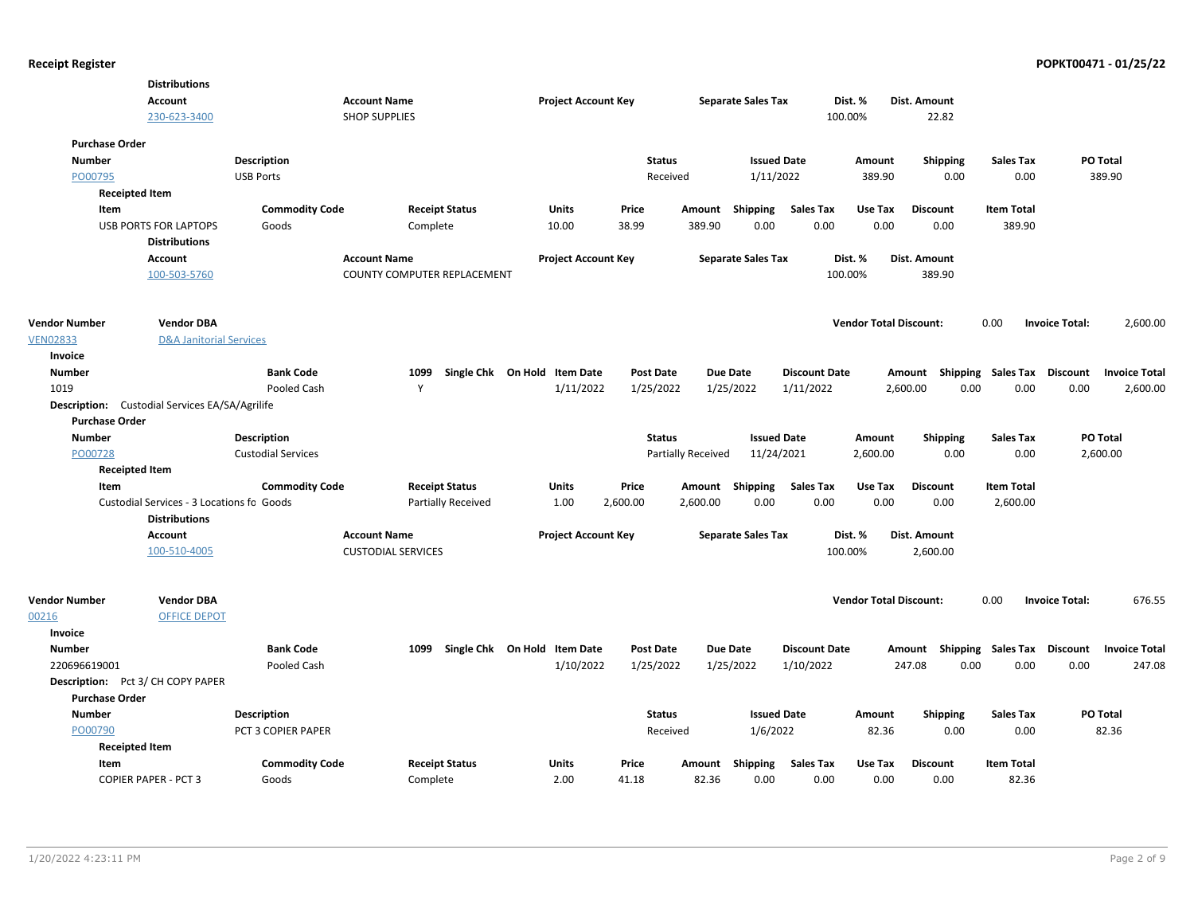|                                                                            | <b>Distributions</b><br>Account<br>230-623-3400      |                                 | <b>Account Name</b><br><b>SHOP SUPPLIES</b> | <b>Project Account Key</b>   |                           |          | <b>Separate Sales Tax</b>       |                      | Dist. %<br>100.00%            | Dist. Amount<br>22.82              |                          |                                   |
|----------------------------------------------------------------------------|------------------------------------------------------|---------------------------------|---------------------------------------------|------------------------------|---------------------------|----------|---------------------------------|----------------------|-------------------------------|------------------------------------|--------------------------|-----------------------------------|
| <b>Purchase Order</b><br><b>Number</b><br>PO00795<br><b>Receipted Item</b> |                                                      | Description<br><b>USB Ports</b> |                                             |                              | <b>Status</b><br>Received |          | <b>Issued Date</b><br>1/11/2022 |                      | Amount<br>389.90              | Shipping<br>0.00                   | <b>Sales Tax</b><br>0.00 | PO Total<br>389.90                |
| Item                                                                       |                                                      | <b>Commodity Code</b>           | <b>Receipt Status</b>                       | Units                        | Price                     | Amount   | Shipping                        | <b>Sales Tax</b>     | Use Tax                       | <b>Discount</b>                    | <b>Item Total</b>        |                                   |
|                                                                            | <b>USB PORTS FOR LAPTOPS</b><br><b>Distributions</b> | Goods                           | Complete                                    | 10.00                        | 38.99                     | 389.90   | 0.00                            | 0.00                 | 0.00                          | 0.00                               | 389.90                   |                                   |
|                                                                            | Account                                              |                                 | <b>Account Name</b>                         | <b>Project Account Key</b>   |                           |          | <b>Separate Sales Tax</b>       |                      | Dist. %                       | Dist. Amount                       |                          |                                   |
|                                                                            | 100-503-5760                                         |                                 | COUNTY COMPUTER REPLACEMENT                 |                              |                           |          |                                 |                      | 100.00%                       | 389.90                             |                          |                                   |
| <b>Vendor Number</b>                                                       | <b>Vendor DBA</b>                                    |                                 |                                             |                              |                           |          |                                 |                      | <b>Vendor Total Discount:</b> |                                    | 0.00                     | 2,600.00<br><b>Invoice Total:</b> |
| <b>VEN02833</b>                                                            | <b>D&amp;A Janitorial Services</b>                   |                                 |                                             |                              |                           |          |                                 |                      |                               |                                    |                          |                                   |
| Invoice                                                                    |                                                      |                                 |                                             |                              |                           |          |                                 |                      |                               |                                    |                          |                                   |
| <b>Number</b>                                                              |                                                      | <b>Bank Code</b>                | 1099                                        | Single Chk On Hold Item Date | <b>Post Date</b>          |          | <b>Due Date</b>                 | <b>Discount Date</b> |                               | Amount Shipping Sales Tax Discount |                          | <b>Invoice Total</b>              |
| 1019                                                                       |                                                      | Pooled Cash                     | Y                                           | 1/11/2022                    | 1/25/2022                 |          | 1/25/2022                       | 1/11/2022            |                               | 0.00<br>2,600.00                   | 0.00                     | 0.00<br>2,600.00                  |
| Description:                                                               | Custodial Services EA/SA/Agrilife                    |                                 |                                             |                              |                           |          |                                 |                      |                               |                                    |                          |                                   |
| <b>Purchase Order</b>                                                      |                                                      |                                 |                                             |                              |                           |          |                                 |                      |                               |                                    |                          |                                   |
| <b>Number</b>                                                              |                                                      | <b>Description</b>              |                                             |                              | <b>Status</b>             |          | <b>Issued Date</b>              |                      | Amount                        | <b>Shipping</b>                    | <b>Sales Tax</b>         | PO Total                          |
| PO00728                                                                    |                                                      | <b>Custodial Services</b>       |                                             |                              | <b>Partially Received</b> |          | 11/24/2021                      |                      | 2,600.00                      | 0.00                               | 0.00                     | 2,600.00                          |
| <b>Receipted Item</b>                                                      |                                                      |                                 |                                             |                              |                           |          |                                 |                      |                               |                                    |                          |                                   |
| Item                                                                       |                                                      | <b>Commodity Code</b>           | <b>Receipt Status</b>                       | Units                        | Price                     |          | Amount Shipping                 | <b>Sales Tax</b>     | Use Tax                       | <b>Discount</b>                    | <b>Item Total</b>        |                                   |
|                                                                            | Custodial Services - 3 Locations fo Goods            |                                 | Partially Received                          | 1.00                         | 2,600.00                  | 2,600.00 | 0.00                            | 0.00                 | 0.00                          | 0.00                               | 2,600.00                 |                                   |
|                                                                            | <b>Distributions</b>                                 |                                 |                                             |                              |                           |          |                                 |                      |                               |                                    |                          |                                   |
|                                                                            | <b>Account</b>                                       |                                 | <b>Account Name</b>                         | <b>Project Account Key</b>   |                           |          | <b>Separate Sales Tax</b>       |                      | Dist. %                       | Dist. Amount                       |                          |                                   |
|                                                                            | 100-510-4005                                         |                                 | <b>CUSTODIAL SERVICES</b>                   |                              |                           |          |                                 |                      | 100.00%                       | 2,600.00                           |                          |                                   |
| <b>Vendor Number</b><br>00216                                              | <b>Vendor DBA</b><br><b>OFFICE DEPOT</b>             |                                 |                                             |                              |                           |          |                                 |                      | <b>Vendor Total Discount:</b> |                                    | 0.00                     | 676.55<br><b>Invoice Total:</b>   |
| <b>Invoice</b>                                                             |                                                      |                                 |                                             |                              |                           |          |                                 |                      |                               |                                    |                          |                                   |
| <b>Number</b>                                                              |                                                      | <b>Bank Code</b>                | 1099                                        | Single Chk On Hold Item Date | <b>Post Date</b>          |          | <b>Due Date</b>                 | <b>Discount Date</b> |                               | Amount Shipping Sales Tax Discount |                          | <b>Invoice Total</b>              |
| 220696619001                                                               |                                                      | Pooled Cash                     |                                             | 1/10/2022                    | 1/25/2022                 |          | 1/25/2022                       | 1/10/2022            |                               | 0.00<br>247.08                     | 0.00                     | 0.00<br>247.08                    |
| Description: Pct 3/ CH COPY PAPER                                          |                                                      |                                 |                                             |                              |                           |          |                                 |                      |                               |                                    |                          |                                   |
| <b>Purchase Order</b>                                                      |                                                      |                                 |                                             |                              |                           |          |                                 |                      |                               |                                    |                          |                                   |
| <b>Number</b>                                                              |                                                      | <b>Description</b>              |                                             |                              | <b>Status</b>             |          | <b>Issued Date</b>              |                      | Amount                        | <b>Shipping</b>                    | <b>Sales Tax</b>         | <b>PO Total</b>                   |
| PO00790                                                                    |                                                      | PCT 3 COPIER PAPER              |                                             |                              | Received                  |          | 1/6/2022                        |                      | 82.36                         | 0.00                               | 0.00                     | 82.36                             |
| <b>Receipted Item</b>                                                      |                                                      |                                 |                                             |                              |                           |          |                                 |                      |                               |                                    |                          |                                   |
| Item                                                                       |                                                      | <b>Commodity Code</b>           | <b>Receipt Status</b>                       | Units                        | Price                     | Amount   | Shipping                        | <b>Sales Tax</b>     | Use Tax                       | <b>Discount</b>                    | <b>Item Total</b>        |                                   |
|                                                                            | <b>COPIER PAPER - PCT 3</b>                          | Goods                           | Complete                                    | 2.00                         | 41.18                     | 82.36    | 0.00                            | 0.00                 | 0.00                          | 0.00                               | 82.36                    |                                   |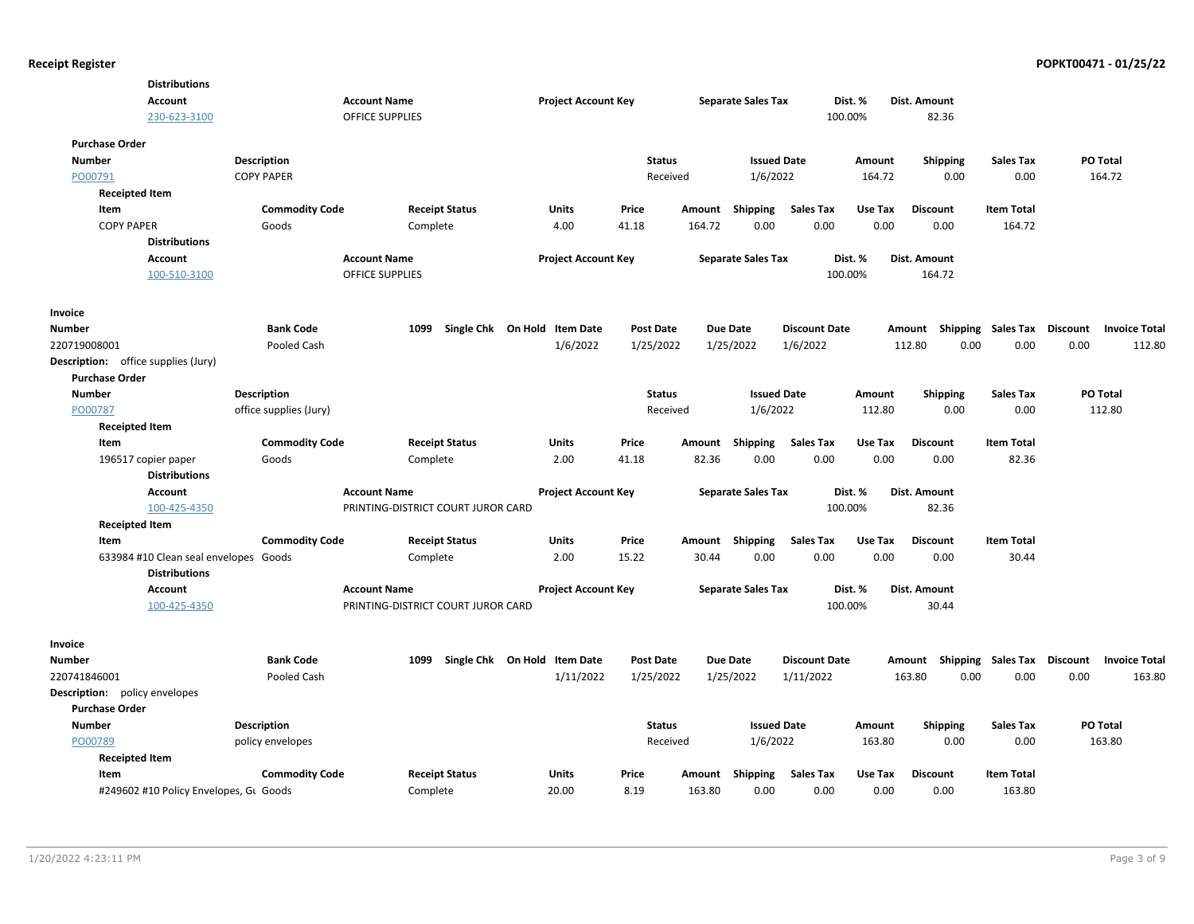| <b>Distributions</b>                       |                        |                                    |                              |                  |        |                           |                      |         |                    |                    |                                         |
|--------------------------------------------|------------------------|------------------------------------|------------------------------|------------------|--------|---------------------------|----------------------|---------|--------------------|--------------------|-----------------------------------------|
| <b>Account</b>                             |                        | <b>Account Name</b>                | <b>Project Account Key</b>   |                  |        | <b>Separate Sales Tax</b> |                      | Dist. % | Dist. Amount       |                    |                                         |
| 230-623-3100                               |                        | <b>OFFICE SUPPLIES</b>             |                              |                  |        |                           |                      | 100.00% | 82.36              |                    |                                         |
| <b>Purchase Order</b>                      |                        |                                    |                              |                  |        |                           |                      |         |                    |                    |                                         |
| <b>Number</b>                              | <b>Description</b>     |                                    |                              | <b>Status</b>    |        | <b>Issued Date</b>        |                      | Amount  | <b>Shipping</b>    | <b>Sales Tax</b>   | <b>PO Total</b>                         |
| PO00791                                    | <b>COPY PAPER</b>      |                                    |                              | Received         |        | 1/6/2022                  |                      | 164.72  | 0.00               | 0.00               | 164.72                                  |
| <b>Receipted Item</b>                      |                        |                                    |                              |                  |        |                           |                      |         |                    |                    |                                         |
| Item                                       | <b>Commodity Code</b>  | <b>Receipt Status</b>              | <b>Units</b>                 | Price            | Amount | Shipping                  | Sales Tax            | Use Tax | Discount           | <b>Item Total</b>  |                                         |
| <b>COPY PAPER</b>                          | Goods                  | Complete                           | 4.00                         | 41.18            | 164.72 | 0.00                      | 0.00                 | 0.00    | 0.00               | 164.72             |                                         |
| <b>Distributions</b>                       |                        |                                    |                              |                  |        |                           |                      |         |                    |                    |                                         |
| Account                                    |                        | <b>Account Name</b>                | <b>Project Account Key</b>   |                  |        | <b>Separate Sales Tax</b> |                      | Dist. % | Dist. Amount       |                    |                                         |
| 100-510-3100                               |                        | <b>OFFICE SUPPLIES</b>             |                              |                  |        |                           |                      | 100.00% | 164.72             |                    |                                         |
| Invoice                                    |                        |                                    |                              |                  |        |                           |                      |         |                    |                    |                                         |
| Number                                     | <b>Bank Code</b>       | 1099                               | Single Chk On Hold Item Date | <b>Post Date</b> |        | <b>Due Date</b>           | <b>Discount Date</b> |         | Shipping<br>Amount | <b>Sales Tax</b>   | <b>Discount</b><br><b>Invoice Total</b> |
| 220719008001                               | Pooled Cash            |                                    | 1/6/2022                     | 1/25/2022        |        | 1/25/2022                 | 1/6/2022             |         | 112.80<br>0.00     | 0.00               | 0.00<br>112.80                          |
| <b>Description:</b> office supplies (Jury) |                        |                                    |                              |                  |        |                           |                      |         |                    |                    |                                         |
| <b>Purchase Order</b>                      |                        |                                    |                              |                  |        |                           |                      |         |                    |                    |                                         |
| <b>Number</b>                              | <b>Description</b>     |                                    |                              | <b>Status</b>    |        | <b>Issued Date</b>        |                      | Amount  | <b>Shipping</b>    | <b>Sales Tax</b>   | PO Total                                |
| PO00787                                    | office supplies (Jury) |                                    |                              | Received         |        | 1/6/2022                  |                      | 112.80  | 0.00               | 0.00               | 112.80                                  |
| <b>Receipted Item</b>                      |                        |                                    |                              |                  |        |                           |                      |         |                    |                    |                                         |
| Item                                       | <b>Commodity Code</b>  | <b>Receipt Status</b>              | Units                        | Price            | Amount | <b>Shipping</b>           | <b>Sales Tax</b>     | Use Tax | <b>Discount</b>    | <b>Item Total</b>  |                                         |
| 196517 copier paper                        | Goods                  | Complete                           | 2.00                         | 41.18            | 82.36  | 0.00                      | 0.00                 | 0.00    | 0.00               | 82.36              |                                         |
| <b>Distributions</b>                       |                        |                                    |                              |                  |        |                           |                      |         |                    |                    |                                         |
| Account                                    |                        | <b>Account Name</b>                | <b>Project Account Key</b>   |                  |        | <b>Separate Sales Tax</b> |                      | Dist. % | Dist. Amount       |                    |                                         |
| 100-425-4350                               |                        | PRINTING-DISTRICT COURT JUROR CARD |                              |                  |        |                           |                      | 100.00% | 82.36              |                    |                                         |
| <b>Receipted Item</b>                      |                        |                                    |                              |                  |        |                           |                      |         |                    |                    |                                         |
| Item                                       | <b>Commodity Code</b>  | <b>Receipt Status</b>              | <b>Units</b>                 | Price            | Amount | <b>Shipping</b>           | <b>Sales Tax</b>     | Use Tax | <b>Discount</b>    | <b>Item Total</b>  |                                         |
| 633984 #10 Clean seal envelopes Goods      |                        | Complete                           | 2.00                         | 15.22            | 30.44  | 0.00                      | 0.00                 | 0.00    | 0.00               | 30.44              |                                         |
| <b>Distributions</b>                       |                        |                                    |                              |                  |        |                           |                      |         |                    |                    |                                         |
| <b>Account</b>                             |                        | <b>Account Name</b>                | <b>Project Account Key</b>   |                  |        | <b>Separate Sales Tax</b> |                      | Dist. % | Dist. Amount       |                    |                                         |
| 100-425-4350                               |                        | PRINTING-DISTRICT COURT JUROR CARD |                              |                  |        |                           |                      | 100.00% | 30.44              |                    |                                         |
| Invoice                                    |                        |                                    |                              |                  |        |                           |                      |         |                    |                    |                                         |
| <b>Number</b>                              | <b>Bank Code</b>       | 1099                               | Single Chk On Hold Item Date | <b>Post Date</b> |        | <b>Due Date</b>           | <b>Discount Date</b> |         | Amount Shipping    | Sales Tax Discount | <b>Invoice Total</b>                    |
| 220741846001                               | Pooled Cash            |                                    | 1/11/2022                    | 1/25/2022        |        | 1/25/2022                 | 1/11/2022            |         | 163.80<br>0.00     | 0.00               | 0.00<br>163.80                          |
| <b>Description:</b> policy envelopes       |                        |                                    |                              |                  |        |                           |                      |         |                    |                    |                                         |
| <b>Purchase Order</b>                      |                        |                                    |                              |                  |        |                           |                      |         |                    |                    |                                         |
| <b>Number</b>                              | <b>Description</b>     |                                    |                              | <b>Status</b>    |        | <b>Issued Date</b>        |                      | Amount  | <b>Shipping</b>    | <b>Sales Tax</b>   | PO Total                                |
| PO00789                                    | policy envelopes       |                                    |                              | Received         |        | 1/6/2022                  |                      | 163.80  | 0.00               | 0.00               | 163.80                                  |
| <b>Receipted Item</b>                      |                        |                                    |                              |                  |        |                           |                      |         |                    |                    |                                         |
| Item                                       | <b>Commodity Code</b>  | <b>Receipt Status</b>              | Units                        | Price            |        | Amount Shipping           | <b>Sales Tax</b>     | Use Tax | <b>Discount</b>    | <b>Item Total</b>  |                                         |
| #249602 #10 Policy Envelopes, GL Goods     |                        | Complete                           | 20.00                        | 8.19             | 163.80 | 0.00                      | 0.00                 | 0.00    | 0.00               | 163.80             |                                         |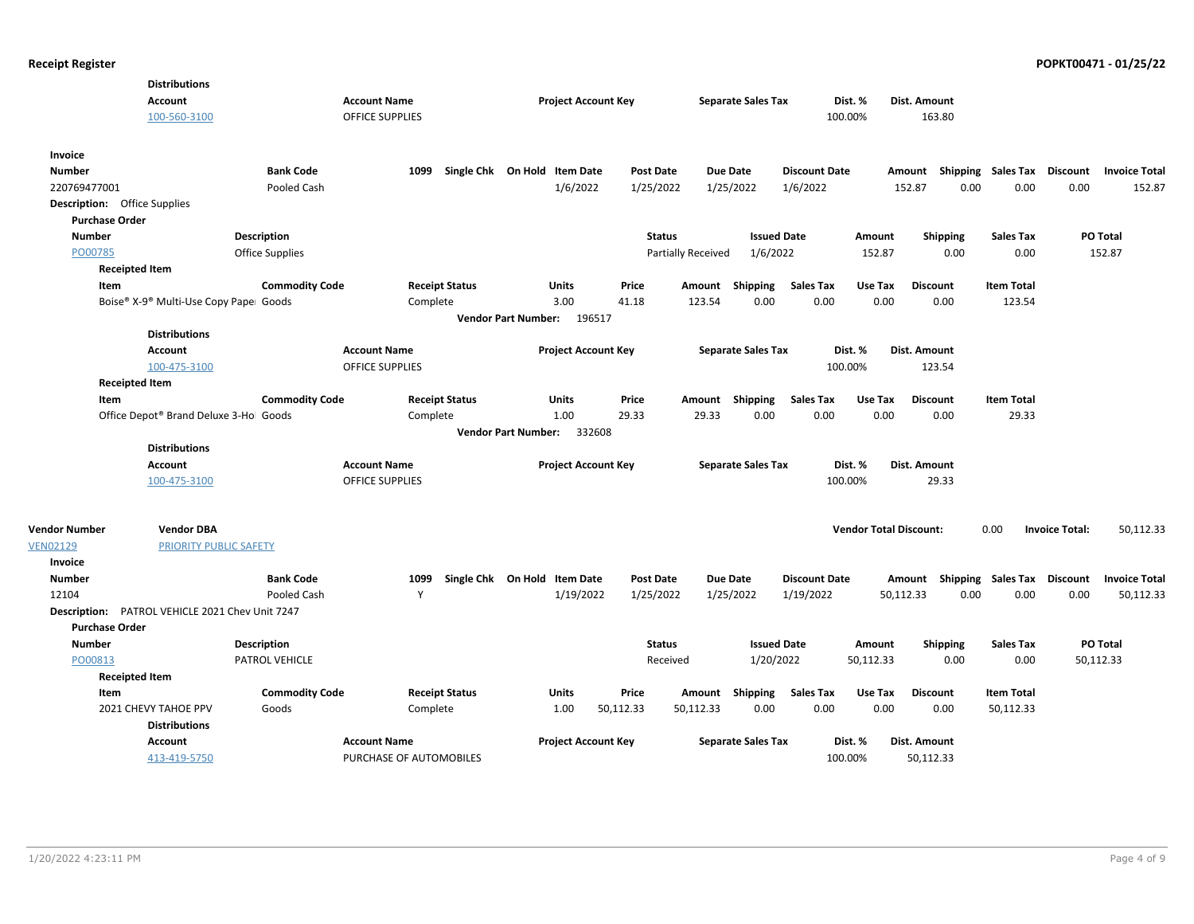|                                     | <b>Distributions</b>                   |                        |                         |                              |                  |                           |                      |                               |                           |                   |                                         |
|-------------------------------------|----------------------------------------|------------------------|-------------------------|------------------------------|------------------|---------------------------|----------------------|-------------------------------|---------------------------|-------------------|-----------------------------------------|
|                                     | Account                                |                        | <b>Account Name</b>     | <b>Project Account Key</b>   |                  | <b>Separate Sales Tax</b> |                      | Dist. %                       | Dist. Amount              |                   |                                         |
|                                     | 100-560-3100                           |                        | OFFICE SUPPLIES         |                              |                  |                           |                      | 100.00%                       | 163.80                    |                   |                                         |
| Invoice                             |                                        |                        |                         |                              |                  |                           |                      |                               |                           |                   |                                         |
| <b>Number</b>                       |                                        | <b>Bank Code</b>       | 1099                    | Single Chk On Hold Item Date | Post Date        | <b>Due Date</b>           | <b>Discount Date</b> |                               | Amount Shipping Sales Tax |                   | <b>Discount</b><br><b>Invoice Total</b> |
| 220769477001                        |                                        | Pooled Cash            |                         | 1/6/2022                     | 1/25/2022        | 1/25/2022                 | 1/6/2022             |                               | 152.87<br>0.00            | 0.00              | 0.00<br>152.87                          |
| <b>Description:</b> Office Supplies |                                        |                        |                         |                              |                  |                           |                      |                               |                           |                   |                                         |
| <b>Purchase Order</b>               |                                        |                        |                         |                              |                  |                           |                      |                               |                           |                   |                                         |
| <b>Number</b>                       |                                        | <b>Description</b>     |                         |                              | <b>Status</b>    |                           | <b>Issued Date</b>   | Amount                        | <b>Shipping</b>           | <b>Sales Tax</b>  | PO Total                                |
| PO00785                             |                                        | <b>Office Supplies</b> |                         |                              |                  | Partially Received        | 1/6/2022             | 152.87                        | 0.00                      | 0.00              | 152.87                                  |
|                                     | <b>Receipted Item</b>                  |                        |                         |                              |                  |                           |                      |                               |                           |                   |                                         |
| Item                                |                                        | <b>Commodity Code</b>  | <b>Receipt Status</b>   | Units                        | Price            | Amount<br>Shipping        | <b>Sales Tax</b>     | Use Tax                       | <b>Discount</b>           | <b>Item Total</b> |                                         |
|                                     | Boise® X-9® Multi-Use Copy Pape⊨ Goods |                        | Complete                | 3.00                         | 41.18            | 123.54                    | 0.00<br>0.00         | 0.00                          | 0.00                      | 123.54            |                                         |
|                                     |                                        |                        |                         | Vendor Part Number: 196517   |                  |                           |                      |                               |                           |                   |                                         |
|                                     | <b>Distributions</b>                   |                        |                         |                              |                  |                           |                      |                               |                           |                   |                                         |
|                                     | Account                                |                        | <b>Account Name</b>     | <b>Project Account Key</b>   |                  | <b>Separate Sales Tax</b> |                      | Dist. %                       | Dist. Amount              |                   |                                         |
|                                     | 100-475-3100                           |                        | OFFICE SUPPLIES         |                              |                  |                           |                      | 100.00%                       | 123.54                    |                   |                                         |
|                                     | <b>Receipted Item</b>                  |                        |                         |                              |                  |                           |                      |                               |                           |                   |                                         |
| Item                                |                                        | <b>Commodity Code</b>  | <b>Receipt Status</b>   | Units                        | Price            | Amount Shipping           | <b>Sales Tax</b>     | Use Tax                       | <b>Discount</b>           | <b>Item Total</b> |                                         |
|                                     | Office Depot® Brand Deluxe 3-Hol Goods |                        | Complete                | 1.00                         | 29.33            | 29.33                     | 0.00<br>0.00         | 0.00                          | 0.00                      | 29.33             |                                         |
|                                     |                                        |                        |                         | Vendor Part Number: 332608   |                  |                           |                      |                               |                           |                   |                                         |
|                                     | <b>Distributions</b>                   |                        |                         |                              |                  |                           |                      |                               |                           |                   |                                         |
|                                     | Account                                |                        | <b>Account Name</b>     | <b>Project Account Key</b>   |                  | <b>Separate Sales Tax</b> |                      | Dist. %                       | Dist. Amount              |                   |                                         |
|                                     | 100-475-3100                           |                        | <b>OFFICE SUPPLIES</b>  |                              |                  |                           |                      | 100.00%                       | 29.33                     |                   |                                         |
|                                     |                                        |                        |                         |                              |                  |                           |                      |                               |                           |                   |                                         |
| <b>Vendor Number</b>                | <b>Vendor DBA</b>                      |                        |                         |                              |                  |                           |                      | <b>Vendor Total Discount:</b> |                           | 0.00              | <b>Invoice Total:</b><br>50,112.33      |
| <b>VEN02129</b>                     | PRIORITY PUBLIC SAFETY                 |                        |                         |                              |                  |                           |                      |                               |                           |                   |                                         |
| Invoice                             |                                        |                        |                         |                              |                  |                           |                      |                               |                           |                   |                                         |
| <b>Number</b>                       |                                        | <b>Bank Code</b>       | 1099                    | Single Chk On Hold Item Date | <b>Post Date</b> | <b>Due Date</b>           | <b>Discount Date</b> |                               | Amount Shipping Sales Tax |                   | <b>Discount</b><br><b>Invoice Total</b> |
| 12104                               |                                        | Pooled Cash            | Y                       | 1/19/2022                    | 1/25/2022        | 1/25/2022                 | 1/19/2022            | 50,112.33                     | 0.00                      | 0.00              | 0.00<br>50,112.33                       |
| Description:                        | PATROL VEHICLE 2021 Chev Unit 7247     |                        |                         |                              |                  |                           |                      |                               |                           |                   |                                         |
| <b>Purchase Order</b>               |                                        |                        |                         |                              |                  |                           |                      |                               |                           |                   |                                         |
| <b>Number</b>                       |                                        | <b>Description</b>     |                         |                              | <b>Status</b>    |                           | <b>Issued Date</b>   | Amount                        | <b>Shipping</b>           | <b>Sales Tax</b>  | PO Total                                |
| PO00813                             |                                        | PATROL VEHICLE         |                         |                              | Received         |                           | 1/20/2022            | 50,112.33                     | 0.00                      | 0.00              | 50,112.33                               |
|                                     | <b>Receipted Item</b>                  |                        |                         |                              |                  |                           |                      |                               |                           |                   |                                         |
| Item                                |                                        | <b>Commodity Code</b>  | <b>Receipt Status</b>   | Units                        | Price            | Amount Shipping           | <b>Sales Tax</b>     | Use Tax                       | <b>Discount</b>           | <b>Item Total</b> |                                         |
|                                     | 2021 CHEVY TAHOE PPV                   | Goods                  | Complete                | 1.00                         | 50,112.33        | 50,112.33                 | 0.00<br>0.00         | 0.00                          | 0.00                      | 50,112.33         |                                         |
|                                     | <b>Distributions</b>                   |                        |                         |                              |                  |                           |                      |                               |                           |                   |                                         |
|                                     | Account                                |                        | <b>Account Name</b>     | <b>Project Account Key</b>   |                  | <b>Separate Sales Tax</b> |                      | Dist. %                       | Dist. Amount              |                   |                                         |
|                                     | 413-419-5750                           |                        | PURCHASE OF AUTOMOBILES |                              |                  |                           |                      | 100.00%                       | 50,112.33                 |                   |                                         |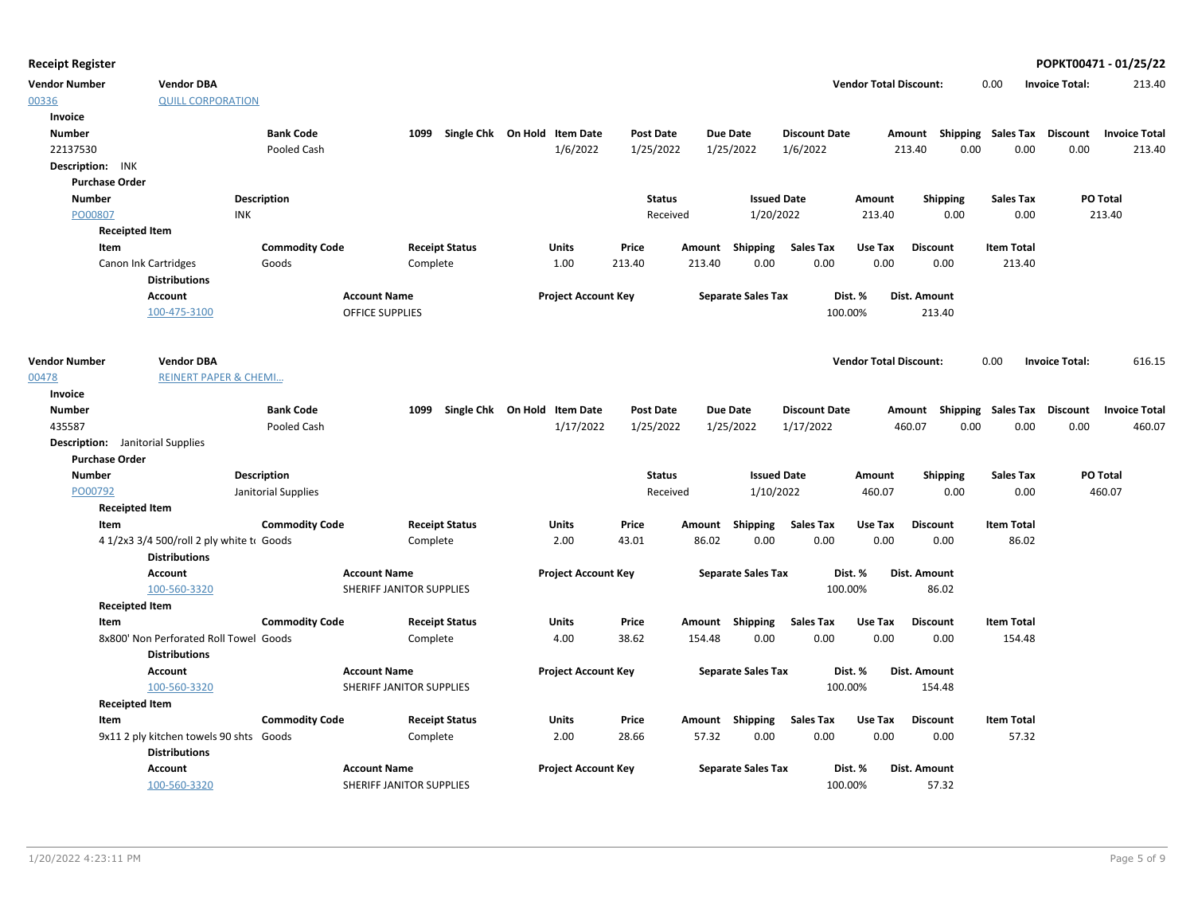| <b>Receipt Register</b>                 |                                           |                       |                          |                       |                              |                  |        |                           |                      |                               |                 |                           |                   |                       | POPKT00471 - 01/25/22 |
|-----------------------------------------|-------------------------------------------|-----------------------|--------------------------|-----------------------|------------------------------|------------------|--------|---------------------------|----------------------|-------------------------------|-----------------|---------------------------|-------------------|-----------------------|-----------------------|
| <b>Vendor Number</b>                    | <b>Vendor DBA</b>                         |                       |                          |                       |                              |                  |        |                           |                      | <b>Vendor Total Discount:</b> |                 |                           | 0.00              | <b>Invoice Total:</b> | 213.40                |
| 00336<br>Invoice                        | <b>QUILL CORPORATION</b>                  |                       |                          |                       |                              |                  |        |                           |                      |                               |                 |                           |                   |                       |                       |
| Number                                  |                                           | <b>Bank Code</b>      |                          | 1099                  | Single Chk On Hold Item Date | <b>Post Date</b> |        | <b>Due Date</b>           | <b>Discount Date</b> |                               |                 | Amount Shipping Sales Tax |                   | <b>Discount</b>       | <b>Invoice Total</b>  |
| 22137530                                |                                           | Pooled Cash           |                          |                       | 1/6/2022                     | 1/25/2022        |        | 1/25/2022                 | 1/6/2022             |                               | 213.40          | 0.00                      | 0.00              | 0.00                  | 213.40                |
| Description: INK                        |                                           |                       |                          |                       |                              |                  |        |                           |                      |                               |                 |                           |                   |                       |                       |
| <b>Purchase Order</b>                   |                                           |                       |                          |                       |                              |                  |        |                           |                      |                               |                 |                           |                   |                       |                       |
| <b>Number</b>                           |                                           | Description           |                          |                       |                              | <b>Status</b>    |        | <b>Issued Date</b>        |                      | Amount                        |                 | Shipping                  | <b>Sales Tax</b>  |                       | PO Total              |
| PO00807                                 | <b>INK</b>                                |                       |                          |                       |                              | Received         |        | 1/20/2022                 |                      | 213.40                        |                 | 0.00                      | 0.00              |                       | 213.40                |
| <b>Receipted Item</b>                   |                                           |                       |                          |                       |                              |                  |        |                           |                      |                               |                 |                           |                   |                       |                       |
| Item                                    |                                           | <b>Commodity Code</b> |                          | <b>Receipt Status</b> | Units                        | Price            |        | Amount Shipping           | <b>Sales Tax</b>     | Use Tax                       | <b>Discount</b> |                           | <b>Item Total</b> |                       |                       |
|                                         | Canon Ink Cartridges                      | Goods                 |                          | Complete              | 1.00                         | 213.40           | 213.40 | 0.00                      | 0.00                 | 0.00                          |                 | 0.00                      | 213.40            |                       |                       |
|                                         | <b>Distributions</b>                      |                       |                          |                       |                              |                  |        |                           |                      |                               |                 |                           |                   |                       |                       |
|                                         | <b>Account</b>                            |                       | <b>Account Name</b>      |                       | <b>Project Account Key</b>   |                  |        | <b>Separate Sales Tax</b> |                      | Dist. %                       | Dist. Amount    |                           |                   |                       |                       |
|                                         | 100-475-3100                              |                       | <b>OFFICE SUPPLIES</b>   |                       |                              |                  |        |                           |                      | 100.00%                       |                 | 213.40                    |                   |                       |                       |
| <b>Vendor Number</b>                    | <b>Vendor DBA</b>                         |                       |                          |                       |                              |                  |        |                           |                      | <b>Vendor Total Discount:</b> |                 |                           | 0.00              | <b>Invoice Total:</b> | 616.15                |
| 00478                                   | <b>REINERT PAPER &amp; CHEMI</b>          |                       |                          |                       |                              |                  |        |                           |                      |                               |                 |                           |                   |                       |                       |
| Invoice                                 |                                           |                       |                          |                       |                              |                  |        |                           |                      |                               |                 |                           |                   |                       |                       |
| <b>Number</b>                           |                                           | <b>Bank Code</b>      |                          | 1099                  | Single Chk On Hold Item Date | <b>Post Date</b> |        | <b>Due Date</b>           | <b>Discount Date</b> |                               |                 | Amount Shipping Sales Tax |                   | Discount              | <b>Invoice Total</b>  |
| 435587                                  |                                           | Pooled Cash           |                          |                       | 1/17/2022                    | 1/25/2022        |        | 1/25/2022                 | 1/17/2022            |                               | 460.07          | 0.00                      | 0.00              | 0.00                  | 460.07                |
| <b>Description:</b> Janitorial Supplies |                                           |                       |                          |                       |                              |                  |        |                           |                      |                               |                 |                           |                   |                       |                       |
| <b>Purchase Order</b>                   |                                           |                       |                          |                       |                              |                  |        |                           |                      |                               |                 |                           |                   |                       |                       |
| <b>Number</b>                           |                                           | <b>Description</b>    |                          |                       |                              | <b>Status</b>    |        | <b>Issued Date</b>        |                      | Amount                        |                 | <b>Shipping</b>           | <b>Sales Tax</b>  |                       | PO Total              |
| PO00792                                 |                                           | Janitorial Supplies   |                          |                       |                              | Received         |        | 1/10/2022                 |                      | 460.07                        |                 | 0.00                      | 0.00              |                       | 460.07                |
| <b>Receipted Item</b>                   |                                           |                       |                          |                       |                              |                  |        |                           |                      |                               |                 |                           |                   |                       |                       |
| Item                                    |                                           | <b>Commodity Code</b> |                          | <b>Receipt Status</b> | Units                        | Price            |        | Amount Shipping           | Sales Tax            | Use Tax                       | <b>Discount</b> |                           | <b>Item Total</b> |                       |                       |
|                                         | 4 1/2x3 3/4 500/roll 2 ply white to Goods |                       |                          | Complete              | 2.00                         | 43.01            | 86.02  | 0.00                      | 0.00                 | 0.00                          |                 | 0.00                      | 86.02             |                       |                       |
|                                         | <b>Distributions</b>                      |                       |                          |                       |                              |                  |        |                           |                      |                               |                 |                           |                   |                       |                       |
|                                         | <b>Account</b>                            |                       | <b>Account Name</b>      |                       | <b>Project Account Key</b>   |                  |        | <b>Separate Sales Tax</b> |                      | Dist. %                       | Dist. Amount    |                           |                   |                       |                       |
|                                         | 100-560-3320                              |                       | SHERIFF JANITOR SUPPLIES |                       |                              |                  |        |                           |                      | 100.00%                       |                 | 86.02                     |                   |                       |                       |
| <b>Receipted Item</b>                   |                                           |                       |                          |                       |                              |                  |        |                           |                      |                               |                 |                           |                   |                       |                       |
| Item                                    |                                           | <b>Commodity Code</b> |                          | <b>Receipt Status</b> | Units                        | Price            |        | Amount Shipping           | Sales Tax            | Use Tax                       | <b>Discount</b> |                           | <b>Item Total</b> |                       |                       |
|                                         | 8x800' Non Perforated Roll Towel Goods    |                       |                          | Complete              | 4.00                         | 38.62            | 154.48 | 0.00                      | 0.00                 | 0.00                          |                 | 0.00                      | 154.48            |                       |                       |
|                                         | <b>Distributions</b>                      |                       |                          |                       |                              |                  |        |                           |                      |                               |                 |                           |                   |                       |                       |
|                                         | <b>Account</b>                            |                       | <b>Account Name</b>      |                       | <b>Project Account Key</b>   |                  |        | <b>Separate Sales Tax</b> |                      | Dist. %                       | Dist. Amount    |                           |                   |                       |                       |
|                                         | 100-560-3320                              |                       | SHERIFF JANITOR SUPPLIES |                       |                              |                  |        |                           |                      | 100.00%                       |                 | 154.48                    |                   |                       |                       |
| <b>Receipted Item</b>                   |                                           |                       |                          |                       |                              |                  |        |                           |                      |                               |                 |                           |                   |                       |                       |
| Item                                    |                                           | <b>Commodity Code</b> |                          | <b>Receipt Status</b> | Units                        | Price            |        | Amount Shipping           | <b>Sales Tax</b>     | Use Tax                       | <b>Discount</b> |                           | <b>Item Total</b> |                       |                       |
|                                         | 9x11 2 ply kitchen towels 90 shts Goods   |                       |                          | Complete              | 2.00                         | 28.66            | 57.32  | 0.00                      | 0.00                 | 0.00                          |                 | 0.00                      | 57.32             |                       |                       |
|                                         | <b>Distributions</b>                      |                       |                          |                       |                              |                  |        |                           |                      |                               |                 |                           |                   |                       |                       |
|                                         | Account                                   |                       | <b>Account Name</b>      |                       | <b>Project Account Key</b>   |                  |        | <b>Separate Sales Tax</b> |                      | Dist. %                       | Dist. Amount    |                           |                   |                       |                       |
|                                         | 100-560-3320                              |                       | SHERIFF JANITOR SUPPLIES |                       |                              |                  |        |                           |                      | 100.00%                       |                 | 57.32                     |                   |                       |                       |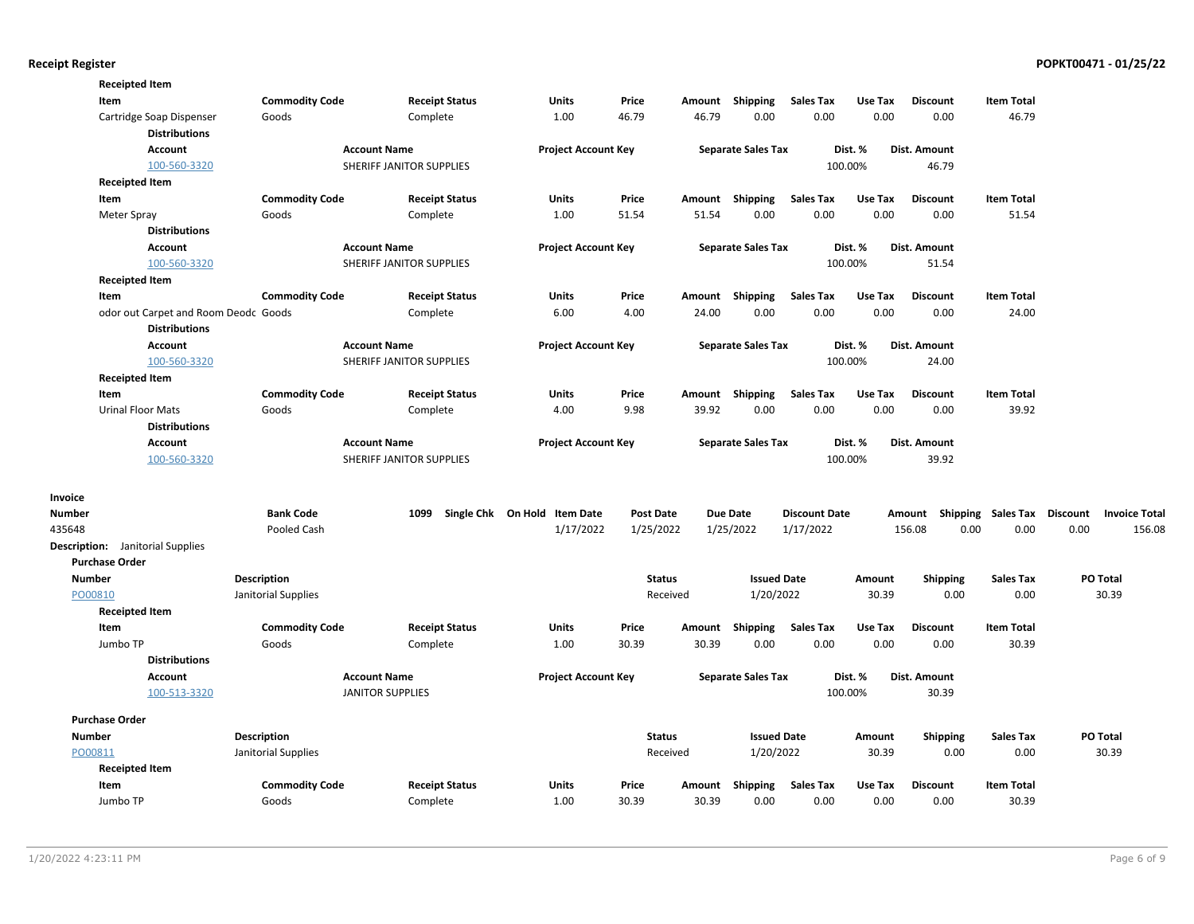|               | <b>Receipted Item</b>                   |                       |                          |                              |                  |        |                           |                      |         |                     |                           |                                         |
|---------------|-----------------------------------------|-----------------------|--------------------------|------------------------------|------------------|--------|---------------------------|----------------------|---------|---------------------|---------------------------|-----------------------------------------|
|               | Item                                    | <b>Commodity Code</b> | <b>Receipt Status</b>    | Units                        | Price            |        | Amount Shipping           | <b>Sales Tax</b>     | Use Tax | <b>Discount</b>     | <b>Item Total</b>         |                                         |
|               | Cartridge Soap Dispenser                | Goods                 | Complete                 | 1.00                         | 46.79            | 46.79  | 0.00                      | 0.00                 | 0.00    | 0.00                | 46.79                     |                                         |
|               | <b>Distributions</b>                    |                       |                          |                              |                  |        |                           |                      |         |                     |                           |                                         |
|               | <b>Account</b>                          |                       | <b>Account Name</b>      | <b>Project Account Key</b>   |                  |        | <b>Separate Sales Tax</b> |                      | Dist. % | <b>Dist. Amount</b> |                           |                                         |
|               | 100-560-3320                            |                       | SHERIFF JANITOR SUPPLIES |                              |                  |        |                           |                      | 100.00% | 46.79               |                           |                                         |
|               | <b>Receipted Item</b>                   |                       |                          |                              |                  |        |                           |                      |         |                     |                           |                                         |
|               | Item                                    | <b>Commodity Code</b> | <b>Receipt Status</b>    | Units                        | Price            |        | Amount Shipping           | <b>Sales Tax</b>     | Use Tax | <b>Discount</b>     | <b>Item Total</b>         |                                         |
|               | Meter Spray                             | Goods                 | Complete                 | 1.00                         | 51.54            | 51.54  | 0.00                      | 0.00                 | 0.00    | 0.00                | 51.54                     |                                         |
|               | <b>Distributions</b>                    |                       |                          |                              |                  |        |                           |                      |         |                     |                           |                                         |
|               | <b>Account</b>                          |                       | <b>Account Name</b>      | <b>Project Account Key</b>   |                  |        | <b>Separate Sales Tax</b> |                      | Dist. % | Dist. Amount        |                           |                                         |
|               | 100-560-3320                            |                       | SHERIFF JANITOR SUPPLIES |                              |                  |        |                           |                      | 100.00% | 51.54               |                           |                                         |
|               | <b>Receipted Item</b>                   |                       |                          |                              |                  |        |                           |                      |         |                     |                           |                                         |
|               | Item                                    | <b>Commodity Code</b> | <b>Receipt Status</b>    | Units                        | Price            |        | Amount Shipping           | <b>Sales Tax</b>     | Use Tax | <b>Discount</b>     | <b>Item Total</b>         |                                         |
|               | odor out Carpet and Room Deodc Goods    |                       | Complete                 | 6.00                         | 4.00             | 24.00  | 0.00                      | 0.00                 | 0.00    | 0.00                | 24.00                     |                                         |
|               | <b>Distributions</b>                    |                       |                          |                              |                  |        |                           |                      |         |                     |                           |                                         |
|               | <b>Account</b>                          |                       | <b>Account Name</b>      | <b>Project Account Key</b>   |                  |        | <b>Separate Sales Tax</b> |                      | Dist. % | Dist. Amount        |                           |                                         |
|               | 100-560-3320                            |                       | SHERIFF JANITOR SUPPLIES |                              |                  |        |                           |                      | 100.00% | 24.00               |                           |                                         |
|               | <b>Receipted Item</b>                   |                       |                          |                              |                  |        |                           |                      |         |                     |                           |                                         |
|               | Item                                    | <b>Commodity Code</b> | <b>Receipt Status</b>    | <b>Units</b>                 | Price            |        | Amount Shipping           | <b>Sales Tax</b>     | Use Tax | <b>Discount</b>     | <b>Item Total</b>         |                                         |
|               | <b>Urinal Floor Mats</b>                | Goods                 | Complete                 | 4.00                         | 9.98             | 39.92  | 0.00                      | 0.00                 | 0.00    | 0.00                | 39.92                     |                                         |
|               | <b>Distributions</b>                    |                       |                          |                              |                  |        |                           |                      |         |                     |                           |                                         |
|               | <b>Account</b>                          |                       | <b>Account Name</b>      | <b>Project Account Key</b>   |                  |        | <b>Separate Sales Tax</b> |                      | Dist. % | Dist. Amount        |                           |                                         |
|               | 100-560-3320                            |                       | SHERIFF JANITOR SUPPLIES |                              |                  |        |                           |                      | 100.00% | 39.92               |                           |                                         |
| Invoice       |                                         |                       |                          |                              |                  |        |                           |                      |         |                     |                           |                                         |
| Number        |                                         | <b>Bank Code</b>      | 1099                     | Single Chk On Hold Item Date | <b>Post Date</b> |        | <b>Due Date</b>           | <b>Discount Date</b> |         | Amount              | <b>Shipping Sales Tax</b> | <b>Discount</b><br><b>Invoice Total</b> |
| 435648        |                                         | Pooled Cash           |                          | 1/17/2022                    | 1/25/2022        |        | 1/25/2022                 | 1/17/2022            |         | 156.08<br>0.00      | 0.00                      | 0.00<br>156.08                          |
|               | <b>Description:</b> Janitorial Supplies |                       |                          |                              |                  |        |                           |                      |         |                     |                           |                                         |
|               | <b>Purchase Order</b>                   |                       |                          |                              |                  |        |                           |                      |         |                     |                           |                                         |
| <b>Number</b> |                                         | <b>Description</b>    |                          |                              | <b>Status</b>    |        | <b>Issued Date</b>        |                      | Amount  | <b>Shipping</b>     | <b>Sales Tax</b>          | PO Total                                |
| PO00810       |                                         | Janitorial Supplies   |                          |                              | Received         |        | 1/20/2022                 |                      | 30.39   | 0.00                | 0.00                      | 30.39                                   |
|               | <b>Receipted Item</b>                   |                       |                          |                              |                  |        |                           |                      |         |                     |                           |                                         |
|               | Item                                    | <b>Commodity Code</b> | <b>Receipt Status</b>    | Units                        | Price            | Amount | Shipping                  | <b>Sales Tax</b>     | Use Tax | <b>Discount</b>     | <b>Item Total</b>         |                                         |
|               | Jumbo TP                                | Goods                 | Complete                 | 1.00                         | 30.39            | 30.39  | 0.00                      | 0.00                 | 0.00    | 0.00                | 30.39                     |                                         |
|               | <b>Distributions</b>                    |                       |                          |                              |                  |        |                           |                      |         |                     |                           |                                         |
|               | <b>Account</b>                          |                       | <b>Account Name</b>      | <b>Project Account Key</b>   |                  |        | <b>Separate Sales Tax</b> |                      | Dist. % | <b>Dist. Amount</b> |                           |                                         |
|               | 100-513-3320                            |                       | <b>JANITOR SUPPLIES</b>  |                              |                  |        |                           |                      | 100.00% | 30.39               |                           |                                         |
|               | <b>Purchase Order</b>                   |                       |                          |                              |                  |        |                           |                      |         |                     |                           |                                         |
| <b>Number</b> |                                         | <b>Description</b>    |                          |                              | <b>Status</b>    |        | <b>Issued Date</b>        |                      | Amount  | <b>Shipping</b>     | <b>Sales Tax</b>          | PO Total                                |
| PO00811       |                                         | Janitorial Supplies   |                          |                              | Received         |        | 1/20/2022                 |                      | 30.39   | 0.00                | 0.00                      | 30.39                                   |
|               | <b>Receipted Item</b>                   |                       |                          |                              |                  |        |                           |                      |         |                     |                           |                                         |
|               | Item                                    | <b>Commodity Code</b> | <b>Receipt Status</b>    | <b>Units</b>                 | Price            | Amount | Shipping                  | <b>Sales Tax</b>     | Use Tax | <b>Discount</b>     | <b>Item Total</b>         |                                         |
|               | Jumbo TP                                | Goods                 | Complete                 | 1.00                         | 30.39            | 30.39  | 0.00                      | 0.00                 | 0.00    | 0.00                | 30.39                     |                                         |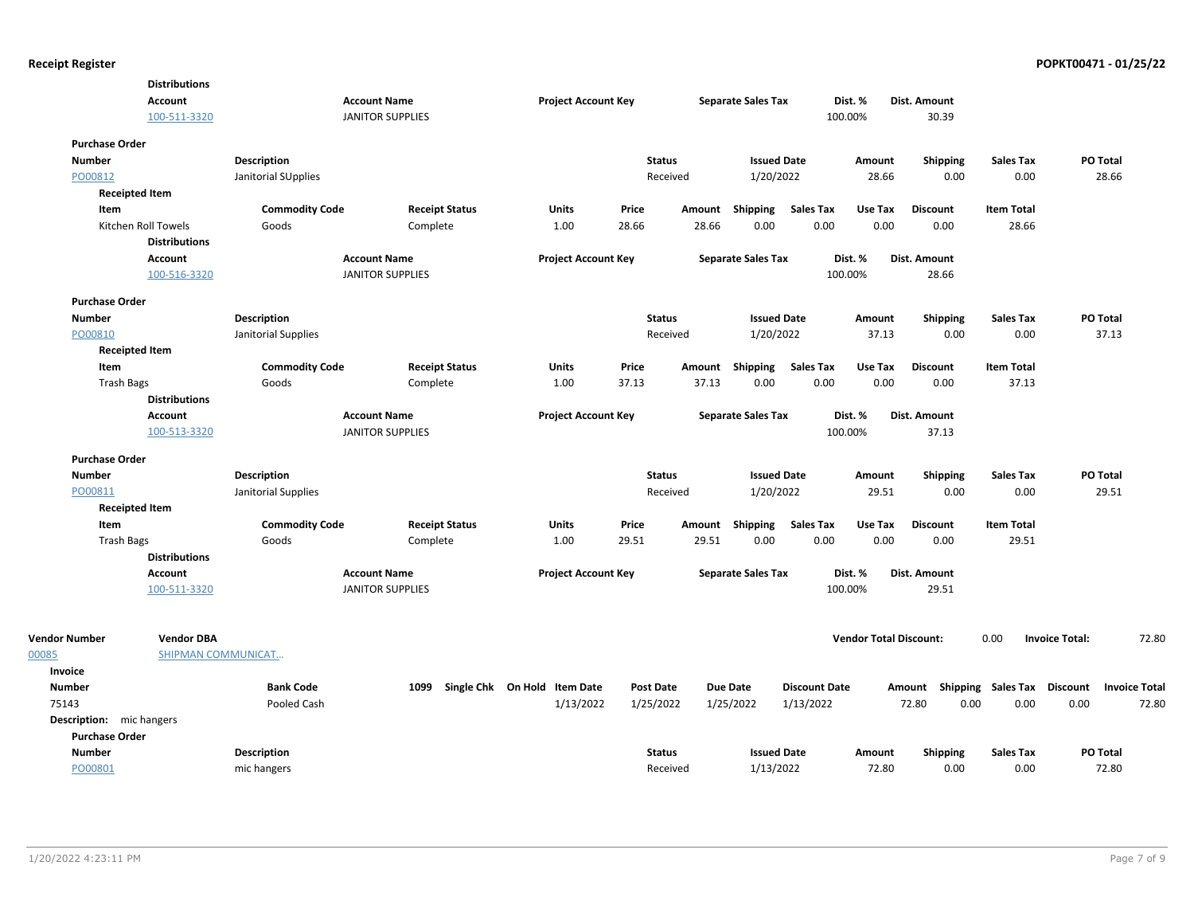|                          | <b>Distributions</b>      |                       |                         |                       |                                   |                            |                  |        |                           |                      |                               |                                    |                   |                       |                      |
|--------------------------|---------------------------|-----------------------|-------------------------|-----------------------|-----------------------------------|----------------------------|------------------|--------|---------------------------|----------------------|-------------------------------|------------------------------------|-------------------|-----------------------|----------------------|
|                          | Account                   |                       | <b>Account Name</b>     |                       |                                   | <b>Project Account Key</b> |                  |        | <b>Separate Sales Tax</b> |                      | Dist. %                       | Dist. Amount                       |                   |                       |                      |
|                          | 100-511-3320              |                       | <b>JANITOR SUPPLIES</b> |                       |                                   |                            |                  |        |                           |                      | 100.00%                       | 30.39                              |                   |                       |                      |
| <b>Purchase Order</b>    |                           |                       |                         |                       |                                   |                            |                  |        |                           |                      |                               |                                    |                   |                       |                      |
| <b>Number</b>            |                           | <b>Description</b>    |                         |                       |                                   |                            | <b>Status</b>    |        | <b>Issued Date</b>        |                      | Amount                        | Shipping                           | <b>Sales Tax</b>  | PO Total              |                      |
| PO00812                  |                           | Janitorial SUpplies   |                         |                       |                                   |                            | Received         |        | 1/20/2022                 |                      | 28.66                         | 0.00                               | 0.00              | 28.66                 |                      |
|                          | <b>Receipted Item</b>     |                       |                         |                       |                                   |                            |                  |        |                           |                      |                               |                                    |                   |                       |                      |
| Item                     |                           | <b>Commodity Code</b> |                         | <b>Receipt Status</b> | Units                             |                            | Price            | Amount | <b>Shipping</b>           | <b>Sales Tax</b>     | Use Tax                       | <b>Discount</b>                    | <b>Item Total</b> |                       |                      |
|                          | Kitchen Roll Towels       | Goods                 | Complete                |                       | 1.00                              |                            | 28.66            | 28.66  | 0.00                      | 0.00                 | 0.00                          | 0.00                               | 28.66             |                       |                      |
|                          | <b>Distributions</b>      |                       |                         |                       |                                   |                            |                  |        |                           |                      |                               |                                    |                   |                       |                      |
|                          | Account                   |                       | <b>Account Name</b>     |                       |                                   | <b>Project Account Key</b> |                  |        | <b>Separate Sales Tax</b> |                      | Dist. %                       | Dist. Amount                       |                   |                       |                      |
|                          | 100-516-3320              |                       | <b>JANITOR SUPPLIES</b> |                       |                                   |                            |                  |        |                           |                      | 100.00%                       | 28.66                              |                   |                       |                      |
| <b>Purchase Order</b>    |                           |                       |                         |                       |                                   |                            |                  |        |                           |                      |                               |                                    |                   |                       |                      |
| <b>Number</b>            |                           | <b>Description</b>    |                         |                       |                                   |                            | <b>Status</b>    |        | <b>Issued Date</b>        |                      | Amount                        | Shipping                           | <b>Sales Tax</b>  | PO Total              |                      |
| PO00810                  |                           | Janitorial Supplies   |                         |                       |                                   |                            | Received         |        | 1/20/2022                 |                      | 37.13                         | 0.00                               | 0.00              | 37.13                 |                      |
|                          | <b>Receipted Item</b>     |                       |                         |                       |                                   |                            |                  |        |                           |                      |                               |                                    |                   |                       |                      |
| Item                     |                           | <b>Commodity Code</b> |                         | <b>Receipt Status</b> | <b>Units</b>                      |                            | Price            |        | Amount Shipping           | <b>Sales Tax</b>     | Use Tax                       | <b>Discount</b>                    | <b>Item Total</b> |                       |                      |
| <b>Trash Bags</b>        |                           | Goods                 | Complete                |                       | 1.00                              |                            | 37.13            | 37.13  | 0.00                      | 0.00                 | 0.00                          | 0.00                               | 37.13             |                       |                      |
|                          | <b>Distributions</b>      |                       |                         |                       |                                   |                            |                  |        |                           |                      |                               |                                    |                   |                       |                      |
|                          | Account                   |                       | <b>Account Name</b>     |                       |                                   | <b>Project Account Key</b> |                  |        | <b>Separate Sales Tax</b> |                      | Dist. %                       | Dist. Amount                       |                   |                       |                      |
|                          | 100-513-3320              |                       | <b>JANITOR SUPPLIES</b> |                       |                                   |                            |                  |        |                           |                      | 100.00%                       | 37.13                              |                   |                       |                      |
| <b>Purchase Order</b>    |                           |                       |                         |                       |                                   |                            |                  |        |                           |                      |                               |                                    |                   |                       |                      |
| <b>Number</b>            |                           | Description           |                         |                       |                                   |                            | <b>Status</b>    |        | <b>Issued Date</b>        |                      | Amount                        | <b>Shipping</b>                    | <b>Sales Tax</b>  | PO Total              |                      |
| PO00811                  |                           | Janitorial Supplies   |                         |                       |                                   |                            | Received         |        | 1/20/2022                 |                      | 29.51                         | 0.00                               | 0.00              | 29.51                 |                      |
|                          | <b>Receipted Item</b>     |                       |                         |                       |                                   |                            |                  |        |                           |                      |                               |                                    |                   |                       |                      |
| Item                     |                           | <b>Commodity Code</b> |                         | <b>Receipt Status</b> | Units                             |                            | Price            | Amount | Shipping                  | <b>Sales Tax</b>     | Use Tax                       | <b>Discount</b>                    | <b>Item Total</b> |                       |                      |
| <b>Trash Bags</b>        |                           | Goods                 | Complete                |                       | 1.00                              |                            | 29.51            | 29.51  | 0.00                      | 0.00                 | 0.00                          | 0.00                               | 29.51             |                       |                      |
|                          | <b>Distributions</b>      |                       |                         |                       |                                   |                            |                  |        |                           |                      |                               |                                    |                   |                       |                      |
|                          | Account                   |                       | <b>Account Name</b>     |                       |                                   | <b>Project Account Key</b> |                  |        | <b>Separate Sales Tax</b> |                      | Dist. %                       | Dist. Amount                       |                   |                       |                      |
|                          | 100-511-3320              |                       | <b>JANITOR SUPPLIES</b> |                       |                                   |                            |                  |        |                           |                      | 100.00%                       | 29.51                              |                   |                       |                      |
|                          |                           |                       |                         |                       |                                   |                            |                  |        |                           |                      |                               |                                    |                   |                       |                      |
| <b>Vendor Number</b>     | <b>Vendor DBA</b>         |                       |                         |                       |                                   |                            |                  |        |                           |                      | <b>Vendor Total Discount:</b> |                                    | 0.00              | <b>Invoice Total:</b> | 72.80                |
| 00085                    | <b>SHIPMAN COMMUNICAT</b> |                       |                         |                       |                                   |                            |                  |        |                           |                      |                               |                                    |                   |                       |                      |
| Invoice                  |                           |                       |                         |                       |                                   |                            |                  |        |                           |                      |                               |                                    |                   |                       |                      |
| <b>Number</b>            |                           | <b>Bank Code</b>      |                         |                       | 1099 Single Chk On Hold Item Date |                            | <b>Post Date</b> |        | <b>Due Date</b>           | <b>Discount Date</b> |                               | Amount Shipping Sales Tax Discount |                   |                       | <b>Invoice Total</b> |
| 75143                    |                           | Pooled Cash           |                         |                       |                                   | 1/13/2022                  | 1/25/2022        |        | 1/25/2022                 | 1/13/2022            |                               | 72.80                              | 0.00<br>0.00      | 0.00                  | 72.80                |
| Description: mic hangers |                           |                       |                         |                       |                                   |                            |                  |        |                           |                      |                               |                                    |                   |                       |                      |
| <b>Purchase Order</b>    |                           |                       |                         |                       |                                   |                            |                  |        |                           |                      |                               |                                    |                   |                       |                      |
| <b>Number</b>            |                           | <b>Description</b>    |                         |                       |                                   |                            | <b>Status</b>    |        | <b>Issued Date</b>        |                      | Amount                        | <b>Shipping</b>                    | <b>Sales Tax</b>  | PO Total              |                      |
| PO00801                  |                           | mic hangers           |                         |                       |                                   |                            | Received         |        | 1/13/2022                 |                      | 72.80                         | 0.00                               | 0.00              | 72.80                 |                      |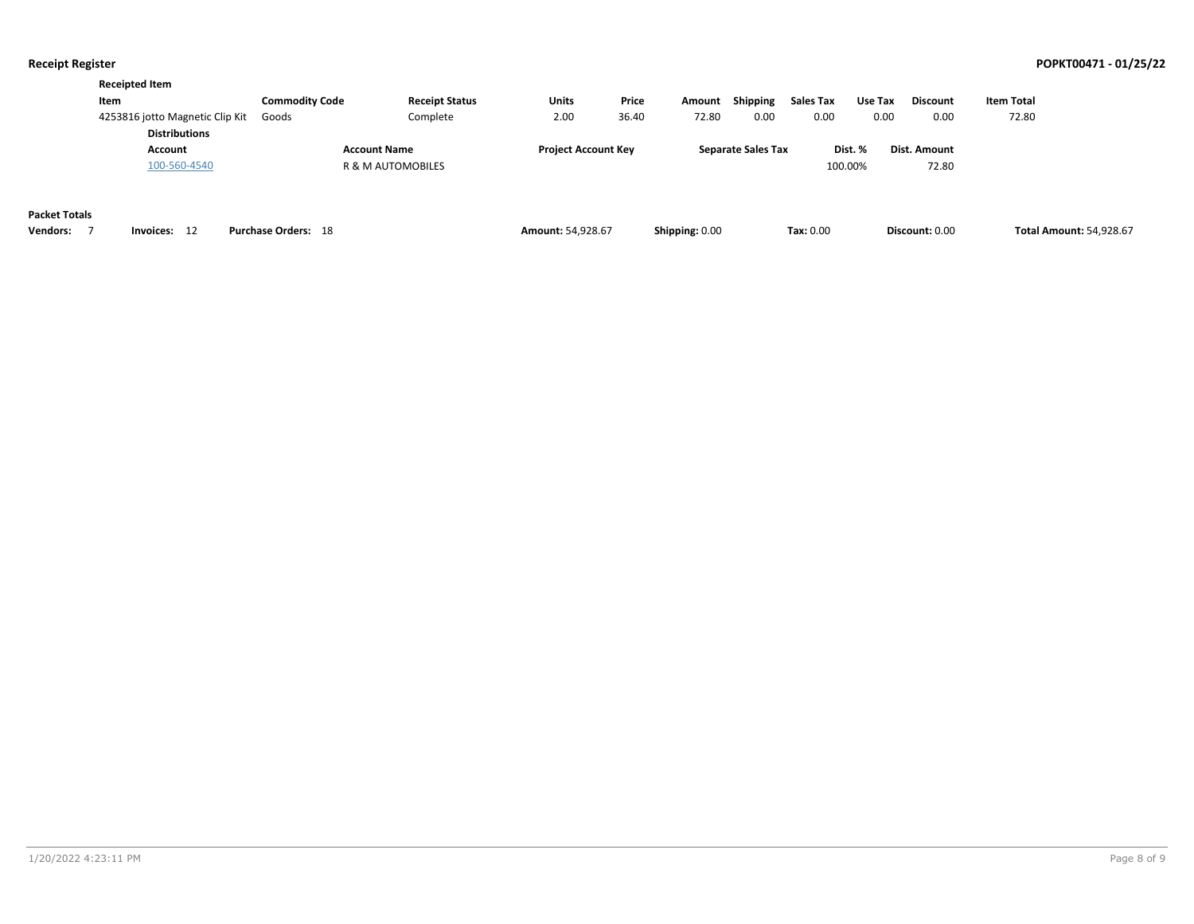|                      | <b>Receipted Item</b>                                   |                            |                       |                            |       |                |                           |           |         |                 |                                |
|----------------------|---------------------------------------------------------|----------------------------|-----------------------|----------------------------|-------|----------------|---------------------------|-----------|---------|-----------------|--------------------------------|
|                      | Item                                                    | <b>Commodity Code</b>      | <b>Receipt Status</b> | <b>Units</b>               | Price | Amount         | Shipping                  | Sales Tax | Use Tax | <b>Discount</b> | <b>Item Total</b>              |
|                      | 4253816 jotto Magnetic Clip Kit<br><b>Distributions</b> | Goods                      | Complete              | 2.00                       | 36.40 | 72.80          | 0.00                      | 0.00      | 0.00    | 0.00            | 72.80                          |
|                      | Account                                                 |                            | <b>Account Name</b>   | <b>Project Account Key</b> |       |                | <b>Separate Sales Tax</b> |           | Dist. % | Dist. Amount    |                                |
|                      | 100-560-4540                                            |                            | R & M AUTOMOBILES     |                            |       |                |                           | 100.00%   |         | 72.80           |                                |
| <b>Packet Totals</b> |                                                         |                            |                       |                            |       |                |                           |           |         |                 |                                |
| <b>Vendors:</b>      | 12<br>Invoices:                                         | <b>Purchase Orders: 18</b> |                       | <b>Amount: 54,928.67</b>   |       | Shipping: 0.00 |                           | Tax: 0.00 |         | Discount: 0.00  | <b>Total Amount: 54,928.67</b> |